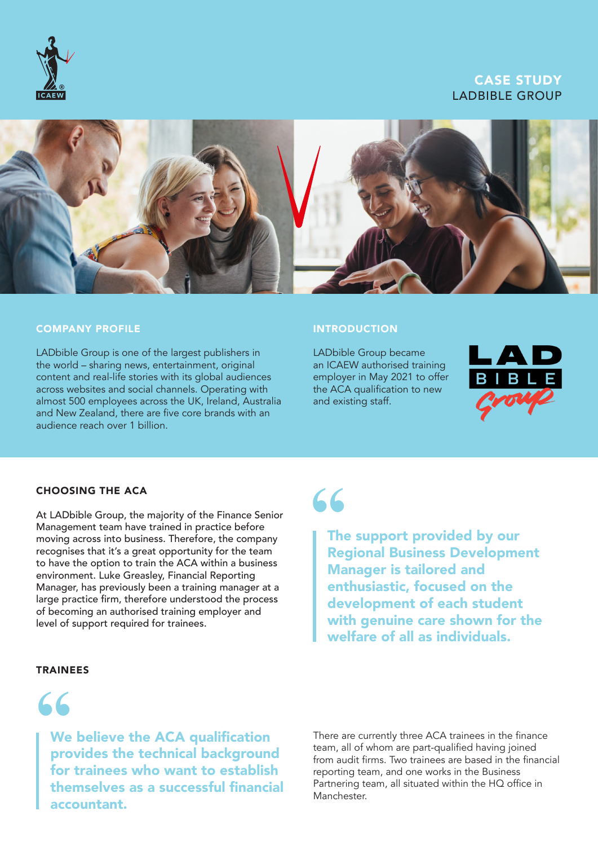

# CASE STUDY LADBIBLE GROUP



### COMPANY PROFILE

LADbible Group is one of the largest publishers in the world – sharing news, entertainment, original content and real-life stories with its global audiences across websites and social channels. Operating with almost 500 employees across the UK, Ireland, Australia and New Zealand, there are five core brands with an audience reach over 1 billion.

#### **INTRODUCTION**

LADbible Group became an ICAEW authorised training employer in May 2021 to offer the ACA qualification to new and existing staff.



### CHOOSING THE ACA

At LADbible Group, the majority of the Finance Senior Management team have trained in practice before moving across into business. Therefore, the company recognises that it's a great opportunity for the team to have the option to train the ACA within a business environment. Luke Greasley, Financial Reporting Manager, has previously been a training manager at a large practice firm, therefore understood the process of becoming an authorised training employer and level of support required for trainees.

### TRAINEES



We believe the ACA qualification provides the technical background for trainees who want to establish themselves as a successful financial accountant.

# **"**

The support provided by our Regional Business Development Manager is tailored and enthusiastic, focused on the development of each student with genuine care shown for the welfare of all as individuals.

There are currently three ACA trainees in the finance team, all of whom are part-qualified having joined from audit firms. Two trainees are based in the financial reporting team, and one works in the Business Partnering team, all situated within the HQ office in Manchester.